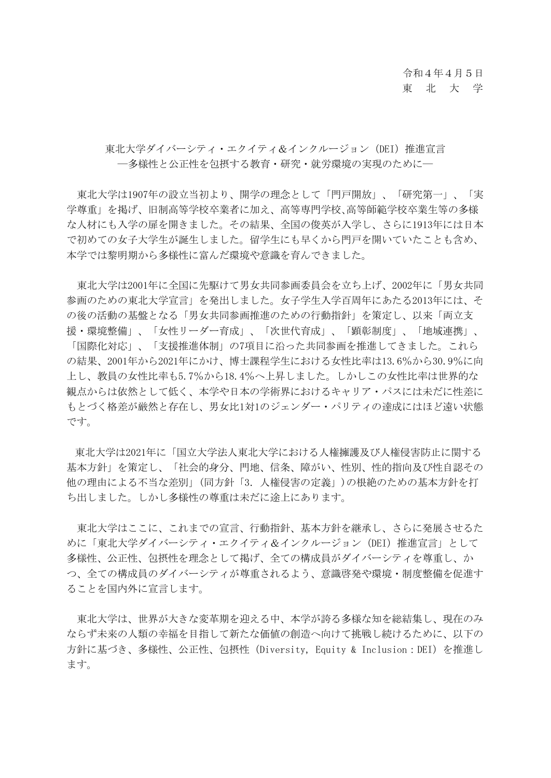## 東北大学ダイバーシティ·エクイティ&インクルージョン (DEI) 推進宣言 ―多様性と公正性を包摂する教育・研究・就労環境の実現のために―

東北大学は1907年の設立当初より、開学の理念として「門戸開放」、「研究第一」、「実 学尊重」を掲げ、旧制高等学校卒業者に加え、高等専門学校、高等師範学校卒業生等の多様 な人材にも入学の扉を開きました。その結果、全国の俊英が入学し、さらに1913年には日本 で初めての女子大学生が誕生しました。留学生にも早くから門戸を開いていたことも含め、 本学では黎明期から多様性に富んだ環境や意識を育んできました。

東北大学は2001年に全国に先駆けて男女共同参画委員会を立ち上げ、2002年に「男女共同 参画のための東北大学宣言」を発出しました。女子学生入学百周年にあたる2013年には、そ の後の活動の基盤となる「男女共同参画推進のための行動指針」を策定し、以来「両立支 援・環境整備」、「女性リーダー育成」、「次世代育成」、「顕彰制度」、「地域連携」、 「国際化対応」、「支援推進体制」の7項目に沿った共同参画を推進してきました。これら の結果、2001年から2021年にかけ、博士課程学生における女性比率は13.6%から30.9%に向 上し、教員の女性比率も5.7%から18.4%へ上昇しました。しかしこの女性比率は世界的な 観点からは依然として低く、本学や日本の学術界におけるキャリア・パスには未だに性差に もとづく格差が厳然と存在し、男女比1対1のジェンダー・パリティの達成にはほど遠い状態 です。

東北大学は2021年に「国立大学法人東北大学における人権擁護及び人権侵害防止に関する 基本方針」を策定し、「社会的身分、門地、信条、障がい、性別、性的指向及び性自認その 他の理由による不当な差別」(同方針「3.人権侵害の定義」)の根絶のための基本方針を打 ち出しました。しかし多様性の尊重は未だに途上にあります。

東北大学はここに、これまでの宣言、行動指針、基本方針を継承し、さらに発展させるた めに「東北大学ダイバーシティ・エクイティ&インクルージョン(DEI)推進宣言」として 多様性、公正性、包摂性を理念として掲げ、全ての構成員がダイバーシティを尊重し、か つ、全ての構成員のダイバーシティが尊重されるよう、意識啓発や環境・制度整備を促進す ることを国内外に宣言します。

東北大学は、世界が大きな変革期を迎える中、本学が誇る多様な知を総結集し、現在のみ ならず未来の人類の幸福を目指して新たな価値の創造へ向けて挑戦し続けるために、以下の 方針に基づき、多様性、公正性、包摂性(Diversity, Equity & Inclusion:DEI)を推進し ます。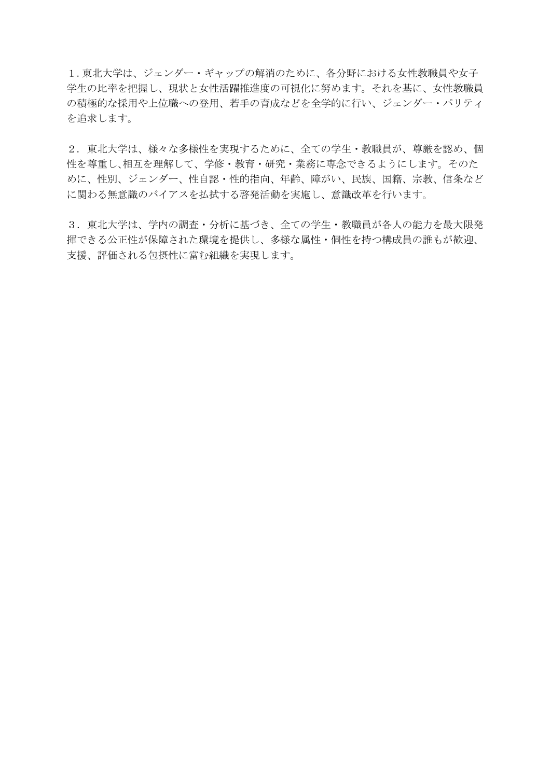1.東北大学は、ジェンダー・ギャップの解消のために、各分野における女性教職員や女子 学生の比率を把握し、現状と女性活躍推進度の可視化に努めます。それを基に、女性教職員 の積極的な採用や上位職への登用、若手の育成などを全学的に行い、ジェンダー・パリティ を追求します。

2. 東北大学は、様々な多様性を実現するために、全ての学生・教職員が、尊厳を認め、個 性を尊重し、相互を理解して、学修・教育・研究・業務に専念できるようにします。そのた めに、性別、ジェンダー、性自認・性的指向、年齢、障がい、民族、国籍、宗教、信条など に関わる無意識のバイアスを払拭する啓発活動を実施し、意識改革を行います。

3.東北大学は、学内の調査・分析に基づき、全ての学生・教職員が各人の能力を最大限発 揮できる公正性が保障された環境を提供し、多様な属性・個性を持つ構成員の誰もが歓迎、 支援、評価される包摂性に富む組織を実現します。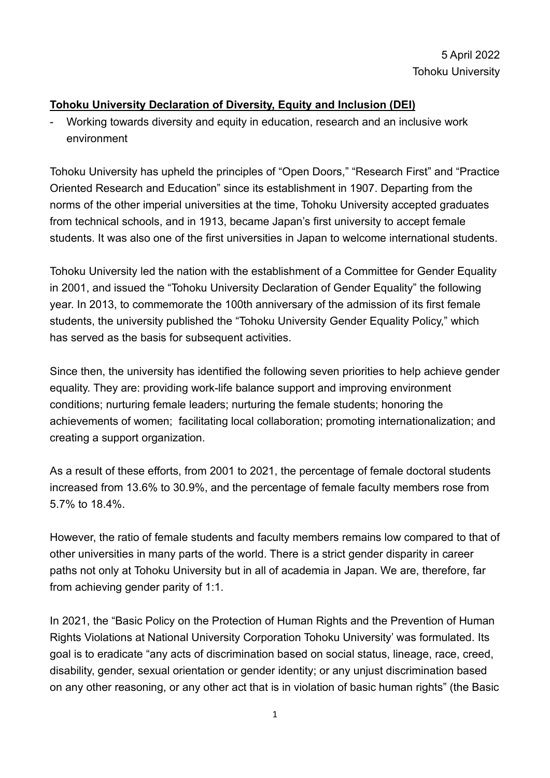## **Tohoku University Declaration of Diversity, Equity and Inclusion (DEI)**

- Working towards diversity and equity in education, research and an inclusive work environment

Tohoku University has upheld the principles of "Open Doors," "Research First" and "Practice Oriented Research and Education" since its establishment in 1907. Departing from the norms of the other imperial universities at the time, Tohoku University accepted graduates from technical schools, and in 1913, became Japan's first university to accept female students. It was also one of the first universities in Japan to welcome international students.

Tohoku University led the nation with the establishment of a Committee for Gender Equality in 2001, and issued the "Tohoku University Declaration of Gender Equality" the following year. In 2013, to commemorate the 100th anniversary of the admission of its first female students, the university published the "Tohoku University Gender Equality Policy," which has served as the basis for subsequent activities.

Since then, the university has identified the following seven priorities to help achieve gender equality. They are: providing work-life balance support and improving environment conditions; nurturing female leaders; nurturing the female students; honoring the achievements of women; facilitating local collaboration; promoting internationalization; and creating a support organization.

As a result of these efforts, from 2001 to 2021, the percentage of female doctoral students increased from 13.6% to 30.9%, and the percentage of female faculty members rose from 5.7% to 18.4%.

However, the ratio of female students and faculty members remains low compared to that of other universities in many parts of the world. There is a strict gender disparity in career paths not only at Tohoku University but in all of academia in Japan. We are, therefore, far from achieving gender parity of 1:1.

In 2021, the "Basic Policy on the Protection of Human Rights and the Prevention of Human Rights Violations at National University Corporation Tohoku University' was formulated. Its goal is to eradicate "any acts of discrimination based on social status, lineage, race, creed, disability, gender, sexual orientation or gender identity; or any unjust discrimination based on any other reasoning, or any other act that is in violation of basic human rights" (the Basic